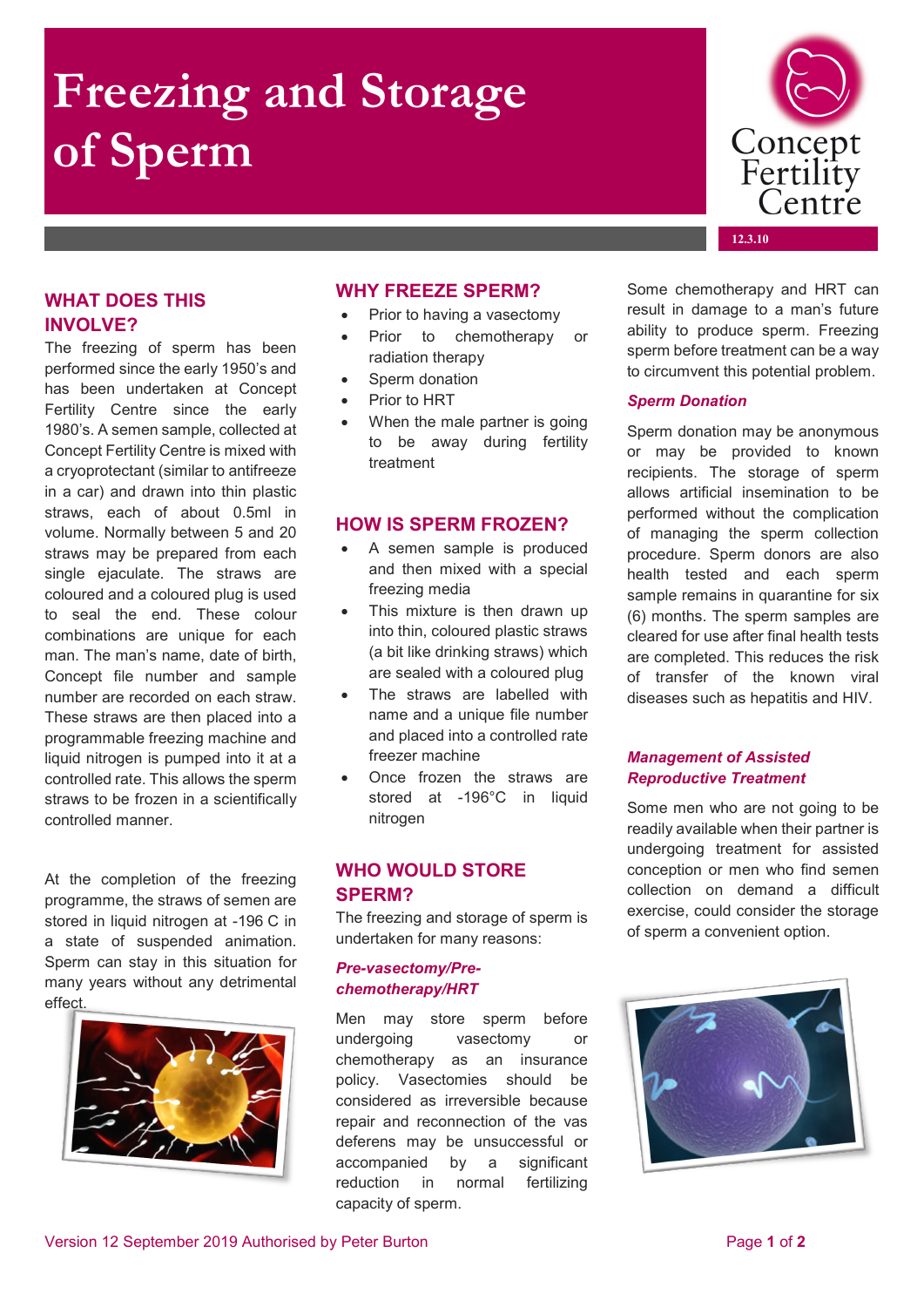# **Freezing and Storage of Sperm**

## **WHAT DOES THIS INVOLVE?**

The freezing of sperm has been performed since the early 1950's and has been undertaken at Concept Fertility Centre since the early 1980's. A semen sample, collected at Concept Fertility Centre is mixed with a cryoprotectant (similar to antifreeze in a car) and drawn into thin plastic straws, each of about 0.5ml in volume. Normally between 5 and 20 straws may be prepared from each single ejaculate. The straws are coloured and a coloured plug is used to seal the end. These colour combinations are unique for each man. The man's name, date of birth, Concept file number and sample number are recorded on each straw. These straws are then placed into a programmable freezing machine and liquid nitrogen is pumped into it at a controlled rate. This allows the sperm straws to be frozen in a scientifically controlled manner.

At the completion of the freezing programme, the straws of semen are stored in liquid nitrogen at -196 C in a state of suspended animation. Sperm can stay in this situation for many years without any detrimental effect.



#### **WHY FREEZE SPERM?**

- Prior to having a vasectomy
- Prior to chemotherapy or radiation therapy
- Sperm donation
- Prior to HRT
- When the male partner is going to be away during fertility treatment

#### **HOW IS SPERM FROZEN?**

- A semen sample is produced and then mixed with a special freezing media
- This mixture is then drawn up into thin, coloured plastic straws (a bit like drinking straws) which are sealed with a coloured plug
- The straws are labelled with name and a unique file number and placed into a controlled rate freezer machine
- Once frozen the straws are stored at -196°C in liquid nitrogen

#### **WHO WOULD STORE SPERM?**

The freezing and storage of sperm is undertaken for many reasons:

#### *Pre-vasectomy/Prechemotherapy/HRT*

Men may store sperm before undergoing vasectomy or chemotherapy as an insurance policy. Vasectomies should be considered as irreversible because repair and reconnection of the vas deferens may be unsuccessful or accompanied by a significant reduction in normal fertilizing capacity of sperm.

Some chemotherapy and HRT can result in damage to a man's future ability to produce sperm. Freezing sperm before treatment can be a way to circumvent this potential problem.

#### *Sperm Donation*

Sperm donation may be anonymous or may be provided to known recipients. The storage of sperm allows artificial insemination to be performed without the complication of managing the sperm collection procedure. Sperm donors are also health tested and each sperm sample remains in quarantine for six (6) months. The sperm samples are cleared for use after final health tests are completed. This reduces the risk of transfer of the known viral diseases such as hepatitis and HIV.

#### *Management of Assisted Reproductive Treatment*

Some men who are not going to be readily available when their partner is undergoing treatment for assisted conception or men who find semen collection on demand a difficult exercise, could consider the storage of sperm a convenient option.